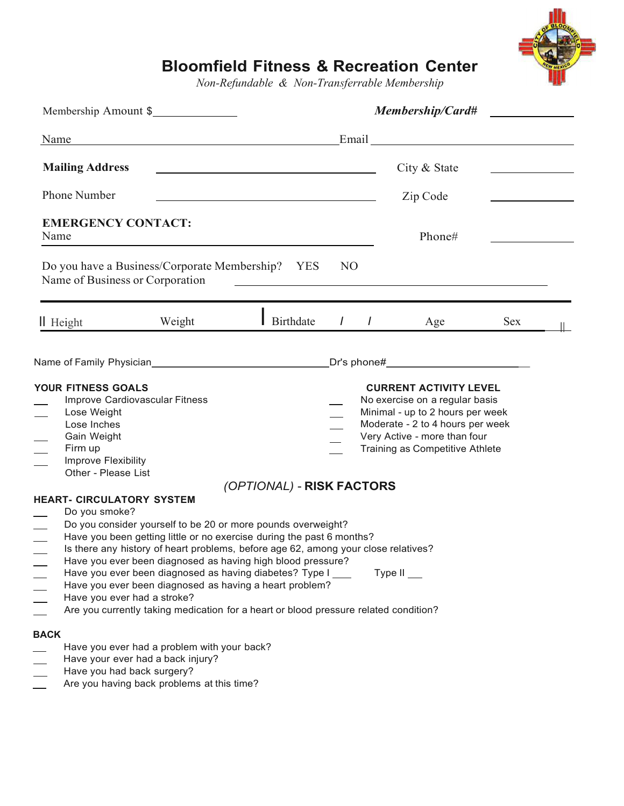

# **Bloomfield Fitness & Recreation Center**

*Non-Refundable & Non-Transferrable Membership*

| Membership Amount \$                                                                                                                                       |                                                                                                                                                                                                                                                                                                                                                                                                                                                                                                                                         |                           | Membership/Card#                                                                                                                                                                                           |                |               |            |  |
|------------------------------------------------------------------------------------------------------------------------------------------------------------|-----------------------------------------------------------------------------------------------------------------------------------------------------------------------------------------------------------------------------------------------------------------------------------------------------------------------------------------------------------------------------------------------------------------------------------------------------------------------------------------------------------------------------------------|---------------------------|------------------------------------------------------------------------------------------------------------------------------------------------------------------------------------------------------------|----------------|---------------|------------|--|
| Name                                                                                                                                                       | <u> 1989 - Johann Stoff, deutscher Stoffen und der Stoffen und der Stoffen und der Stoffen und der Stoffen und der</u>                                                                                                                                                                                                                                                                                                                                                                                                                  |                           |                                                                                                                                                                                                            |                |               |            |  |
| <b>Mailing Address</b><br>Phone Number<br><u> 1989 - Johann Barbara, martxa alemaniar arg</u>                                                              |                                                                                                                                                                                                                                                                                                                                                                                                                                                                                                                                         |                           |                                                                                                                                                                                                            |                | City & State  |            |  |
|                                                                                                                                                            |                                                                                                                                                                                                                                                                                                                                                                                                                                                                                                                                         |                           |                                                                                                                                                                                                            |                | Zip Code      |            |  |
| <b>EMERGENCY CONTACT:</b><br>Name                                                                                                                          |                                                                                                                                                                                                                                                                                                                                                                                                                                                                                                                                         |                           | Phone#                                                                                                                                                                                                     |                |               |            |  |
|                                                                                                                                                            | Do you have a Business/Corporate Membership? YES<br>Name of Business or Corporation                                                                                                                                                                                                                                                                                                                                                                                                                                                     |                           | N <sub>O</sub>                                                                                                                                                                                             |                |               |            |  |
| Il Height                                                                                                                                                  | Weight                                                                                                                                                                                                                                                                                                                                                                                                                                                                                                                                  | Birthdate                 | $\prime$                                                                                                                                                                                                   | $\overline{I}$ | Age           | <b>Sex</b> |  |
|                                                                                                                                                            |                                                                                                                                                                                                                                                                                                                                                                                                                                                                                                                                         |                           |                                                                                                                                                                                                            |                |               |            |  |
| YOUR FITNESS GOALS<br>Improve Cardiovascular Fitness<br>Lose Weight<br>Lose Inches<br>Gain Weight<br>Firm up<br>Improve Flexibility<br>Other - Please List |                                                                                                                                                                                                                                                                                                                                                                                                                                                                                                                                         |                           | <b>CURRENT ACTIVITY LEVEL</b><br>No exercise on a regular basis<br>Minimal - up to 2 hours per week<br>Moderate - 2 to 4 hours per week<br>Very Active - more than four<br>Training as Competitive Athlete |                |               |            |  |
| <b>HEART- CIRCULATORY SYSTEM</b><br>Do you smoke?<br><b>BACK</b>                                                                                           | Do you consider yourself to be 20 or more pounds overweight?<br>Have you been getting little or no exercise during the past 6 months?<br>Is there any history of heart problems, before age 62, among your close relatives?<br>Have you ever been diagnosed as having high blood pressure?<br>Have you ever been diagnosed as having diabetes? Type I<br>Have you ever been diagnosed as having a heart problem?<br>Have you ever had a stroke?<br>Are you currently taking medication for a heart or blood pressure related condition? | (OPTIONAL) - RISK FACTORS |                                                                                                                                                                                                            |                | Type $II$ ___ |            |  |
|                                                                                                                                                            | Have you ever had a problem with your back?<br>Have your ever had a back injury?<br>Have you had back surgery?<br>Are you having back problems at this time?                                                                                                                                                                                                                                                                                                                                                                            |                           |                                                                                                                                                                                                            |                |               |            |  |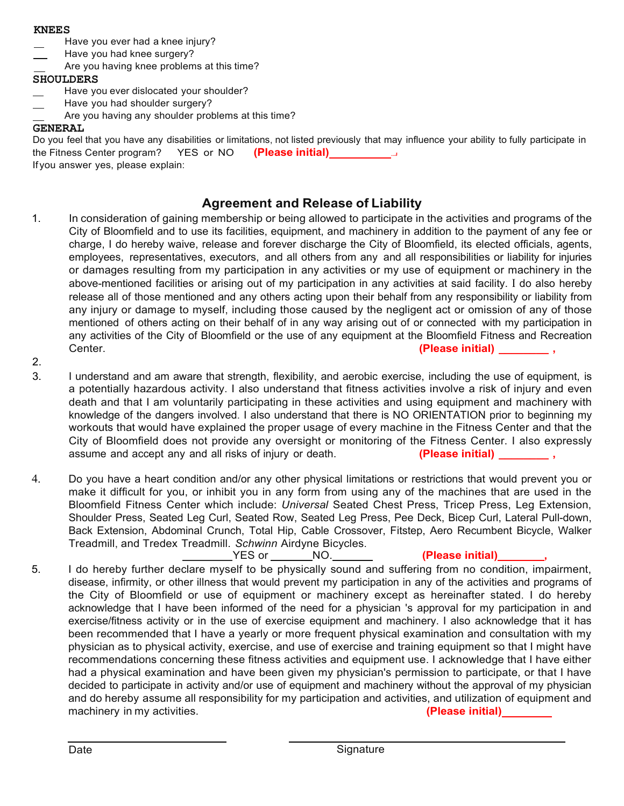#### **KNEES**

- Have you ever had a knee injury?
- Have you had knee surgery?
- Are you having knee problems at this time?

## **SHOULDERS**

- Have you ever dislocated your shoulder?
- Have you had shoulder surgery?
- Are you having any shoulder problems at this time?

## **GENERAL**

Do you feel that you have any disabilities or limitations, not listed previously that may influence your ability to fully participate in the Fitness Center program? YES or NO **(Please initial) ...J** If you answer yes, please explain:

## **Agreement and Release of Liability**

- 1. In consideration of gaining membership or being allowed to participate in the activities and programs of the City of Bloomfield and to use its facilities, equipment, and machinery in addition to the payment of any fee or charge, I do hereby waive, release and forever discharge the City of Bloomfield, its elected officials, agents, employees, representatives, executors, and all others from any and all responsibilities or liability for injuries or damages resulting from my participation in any activities or my use of equipment or machinery in the above-mentioned facilities or arising out of my participation in any activities at said facility. I do also hereby release all of those mentioned and any others acting upon their behalf from any responsibility or liability from any injury or damage to myself, including those caused by the negligent act or omission of any of those mentioned of others acting on their behalf of in any way arising out of or connected with my participation in any activities of the City of Bloomfield or the use of any equipment at the Bloomfield Fitness and Recreation Center. **(Please initial) \_\_\_\_\_\_\_\_ ,**
- 2.
- 3. I understand and am aware that strength, flexibility, and aerobic exercise, including the use of equipment, is a potentially hazardous activity. I also understand that fitness activities involve a risk of injury and even death and that I am voluntarily participating in these activities and using equipment and machinery with knowledge of the dangers involved. I also understand that there is NO ORIENTATION prior to beginning my workouts that would have explained the proper usage of every machine in the Fitness Center and that the City of Bloomfield does not provide any oversight or monitoring of the Fitness Center. I also expressly assume and accept any and all risks of injury or death. **(Please initial)**
- 4. Do you have a heart condition and/or any other physical limitations or restrictions that would prevent you or make it difficult for you, or inhibit you in any form from using any of the machines that are used in the Bloomfield Fitness Center which include: *Universal* Seated Chest Press, Tricep Press, Leg Extension, Shoulder Press, Seated Leg Curl, Seated Row, Seated Leg Press, Pee Deck, Bicep Curl, Lateral Pull-down, Back Extension, Abdominal Crunch, Total Hip, Cable Crossover, Fitstep, Aero Recumbent Bicycle, Walker Treadmill, and Tredex Treadmill. *Schwinn* Airdyne Bicycles. YES or NO. **(Please initial) ,**
- 5. I do hereby further declare myself to be physically sound and suffering from no condition, impairment, disease, infirmity, or other illness that would prevent my participation in any of the activities and programs of the City of Bloomfield or use of equipment or machinery except as hereinafter stated. I do hereby acknowledge that I have been informed of the need for a physician 's approval for my participation in and exercise/fitness activity or in the use of exercise equipment and machinery. I also acknowledge that it has been recommended that I have a yearly or more frequent physical examination and consultation with my physician as to physical activity, exercise, and use of exercise and training equipment so that I might have recommendations concerning these fitness activities and equipment use. I acknowledge that I have either had a physical examination and have been given my physician's permission to participate, or that I have decided to participate in activity and/or use of equipment and machinery without the approval of my physician and do hereby assume all responsibility for my participation and activities, and utilization of equipment and machinery in my activities. **(Please initial)**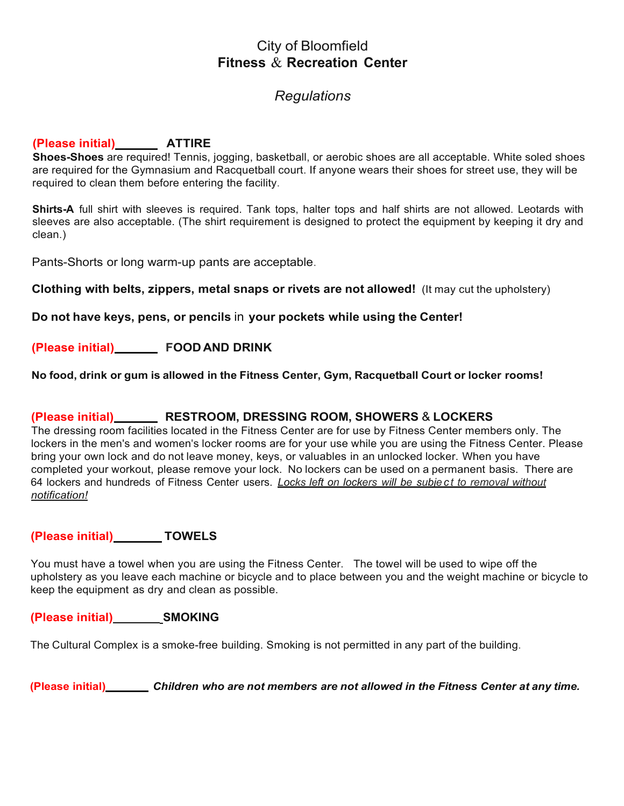# City of Bloomfield **Fitness** & **Recreation Center**

# *Regulations*

#### **(Please initial) ATTIRE**

**Shoes-Shoes** are required! Tennis, jogging, basketball, or aerobic shoes are all acceptable. White soled shoes are required for the Gymnasium and Racquetball court. If anyone wears their shoes for street use, they will be required to clean them before entering the facility.

**Shirts-A** full shirt with sleeves is required. Tank tops, halter tops and half shirts are not allowed. Leotards with sleeves are also acceptable. (The shirt requirement is designed to protect the equipment by keeping it dry and clean.)

Pants-Shorts or long warm-up pants are acceptable.

**Clothing with belts, zippers, metal snaps or rivets are not allowed!** (It may cut the upholstery)

**Do not have keys, pens, or pencils** in **your pockets while using the Center!**

**(Please initial) FOOD AND DRINK**

**No food, drink or gum is allowed in the Fitness Center, Gym, Racquetball Court or locker rooms!**

#### **(Please initial) RESTROOM, DRESSING ROOM, SHOWERS** & **LOCKERS**

The dressing room facilities located in the Fitness Center are for use by Fitness Center members only. The lockers in the men's and women's locker rooms are for your use while you are using the Fitness Center. Please bring your own lock and do not leave money, keys, or valuables in an unlocked locker. When you have completed your workout, please remove your lock. No lockers can be used on a permanent basis. There are 64 lockers and hundreds of Fitness Center users. *Locks left on lockers will be subjec t to removal without notification!*

#### **(Please initial) TOWELS**

You must have a towel when you are using the Fitness Center. The towel will be used to wipe off the upholstery as you leave each machine or bicycle and to place between you and the weight machine or bicycle to keep the equipment as dry and clean as possible.

#### **(Please initial) SMOKING**

The Cultural Complex is a smoke-free building. Smoking is not permitted in any part of the building.

**(Please initial)** *Children who are not members are not allowed in the Fitness Center at any time.*